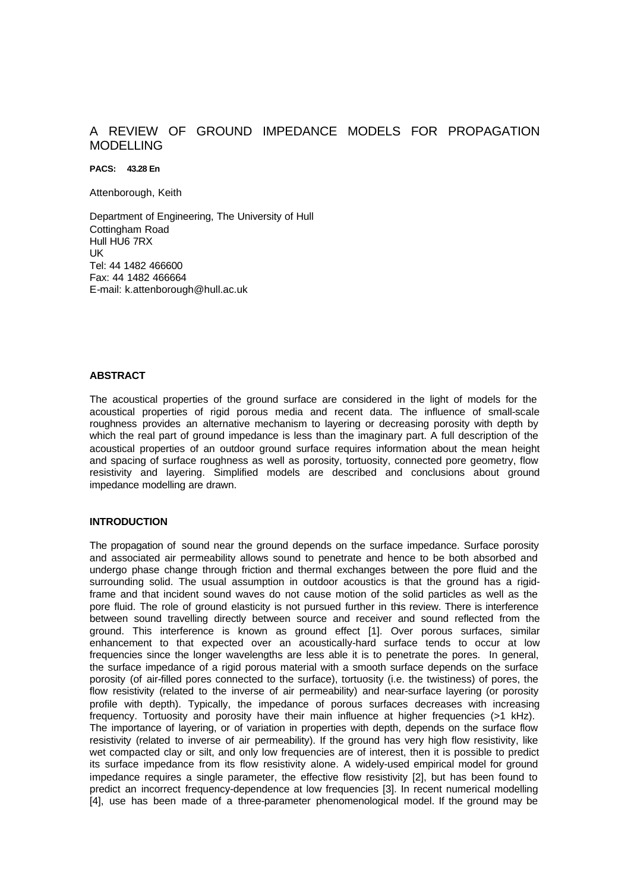# A REVIEW OF GROUND IMPEDANCE MODELS FOR PROPAGATION MODELLING

**PACS: 43.28 En**

Attenborough, Keith

Department of Engineering, The University of Hull Cottingham Road Hull HU6 7RX UK Tel: 44 1482 466600 Fax: 44 1482 466664 E-mail: k.attenborough@hull.ac.uk

## **ABSTRACT**

The acoustical properties of the ground surface are considered in the light of models for the acoustical properties of rigid porous media and recent data. The influence of small-scale roughness provides an alternative mechanism to layering or decreasing porosity with depth by which the real part of ground impedance is less than the imaginary part. A full description of the acoustical properties of an outdoor ground surface requires information about the mean height and spacing of surface roughness as well as porosity, tortuosity, connected pore geometry, flow resistivity and layering. Simplified models are described and conclusions about ground impedance modelling are drawn.

### **INTRODUCTION**

The propagation of sound near the ground depends on the surface impedance. Surface porosity and associated air permeability allows sound to penetrate and hence to be both absorbed and undergo phase change through friction and thermal exchanges between the pore fluid and the surrounding solid. The usual assumption in outdoor acoustics is that the ground has a rigidframe and that incident sound waves do not cause motion of the solid particles as well as the pore fluid. The role of ground elasticity is not pursued further in this review. There is interference between sound travelling directly between source and receiver and sound reflected from the ground. This interference is known as ground effect [1]. Over porous surfaces, similar enhancement to that expected over an acoustically-hard surface tends to occur at low frequencies since the longer wavelengths are less able it is to penetrate the pores. In general, the surface impedance of a rigid porous material with a smooth surface depends on the surface porosity (of air-filled pores connected to the surface), tortuosity (i.e. the twistiness) of pores, the flow resistivity (related to the inverse of air permeability) and near-surface layering (or porosity profile with depth). Typically, the impedance of porous surfaces decreases with increasing frequency. Tortuosity and porosity have their main influence at higher frequencies (>1 kHz). The importance of layering, or of variation in properties with depth, depends on the surface flow resistivity (related to inverse of air permeability). If the ground has very high flow resistivity, like wet compacted clay or silt, and only low frequencies are of interest, then it is possible to predict its surface impedance from its flow resistivity alone. A widely-used empirical model for ground impedance requires a single parameter, the effective flow resistivity [2], but has been found to predict an incorrect frequency-dependence at low frequencies [3]. In recent numerical modelling [4], use has been made of a three-parameter phenomenological model. If the ground may be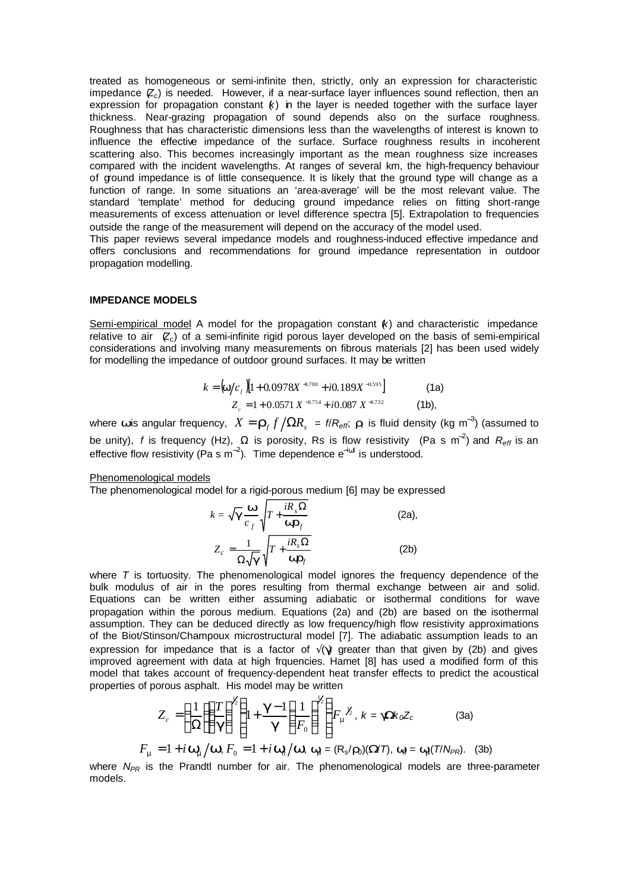treated as homogeneous or semi-infinite then, strictly, only an expression for characteristic impedance  $\mathcal{Z}_c$ ) is needed. However, if a near-surface layer influences sound reflection, then an expression for propagation constant  $(k)$  in the layer is needed together with the surface layer thickness. Near-grazing propagation of sound depends also on the surface roughness. Roughness that has characteristic dimensions less than the wavelengths of interest is known to influence the effective impedance of the surface. Surface roughness results in incoherent scattering also. This becomes increasingly important as the mean roughness size increases compared with the incident wavelengths. At ranges of several km, the high-frequency behaviour of ground impedance is of little consequence. It is likely that the ground type will change as a function of range. In some situations an 'area-average' will be the most relevant value. The standard 'template' method for deducing ground impedance relies on fitting short-range measurements of excess attenuation or level difference spectra [5]. Extrapolation to frequencies outside the range of the measurement will depend on the accuracy of the model used.

This paper reviews several impedance models and roughness-induced effective impedance and offers conclusions and recommendations for ground impedance representation in outdoor propagation modelling.

#### **IMPEDANCE MODELS**

Semi-empirical model A model for the propagation constant (*k*) and characteristic impedance relative to air  $\mathbb{Z}_c$ ) of a semi-infinite rigid porous layer developed on the basis of semi-empirical considerations and involving many measurements on fibrous materials [2] has been used widely for modelling the impedance of outdoor ground surfaces. It may be written

$$
k = \left(\frac{w}{c_f}\right) \left[1 + 0.0978X^{-0.700} + i0.189X^{-0.595}\right]
$$
 (1a)  

$$
Z_c = 1 + 0.0571 X^{-0.754} + i0.087 X^{-0.732}
$$
 (1b),

where wis angular frequency,  $X = \bm{r}_f f\big/\Omega R_{_S}$  = f/ $R_{\text{eff}}$ ;  $\bm{r}_f$  is fluid density (kg m<sup>-3</sup>) (assumed to be unity), *f* is frequency (Hz), Ω is porosity, Rs is flow resistivity (Pa s m<sup>−</sup><sup>2</sup> ) and *Reff* is an effective flow resistivity (Pa s m<sup>-2</sup>). Time dependence  $e^{-i\omega t}$  is understood.

#### Phenomenological models

The phenomenological model for a rigid-porous medium [6] may be expressed

$$
k = \sqrt{\mathbf{g}} \frac{\mathbf{w}}{c_f} \sqrt{T + \frac{iR_s \Omega}{\mathbf{w}r_f}}
$$
 (2a),  

$$
Z_c = \frac{1}{\Omega \sqrt{\mathbf{g}}} \sqrt{T + \frac{iR_s \Omega}{\mathbf{w}r_f}}
$$
 (2b)

where *T* is tortuosity. The phenomenological model ignores the frequency dependence of the bulk modulus of air in the pores resulting from thermal exchange between air and solid. Equations can be written either assuming adiabatic or isothermal conditions for wave propagation within the porous medium. Equations (2a) and (2b) are based on the isothermal assumption. They can be deduced directly as low frequency/high flow resistivity approximations of the Biot/Stinson/Champoux microstructural model [7]. The adiabatic assumption leads to an expression for impedance that is a factor of  $\sqrt{g}$  greater than that given by (2b) and gives improved agreement with data at high frquencies. Hamet [8] has used a modified form of this model that takes account of frequency-dependent heat transfer effects to predict the acoustical properties of porous asphalt. His model may be written

$$
Z_c = \left(\frac{1}{\Omega}\right)\left(\frac{T}{g}\right)^{\frac{1}{2}} \left\{1 + \frac{g-1}{g}\left(\frac{1}{F_0}\right)^{\frac{1}{2}}\right\} F_m^{\frac{1}{2}}, \ k = gWk_0Z_c \tag{3a}
$$

$$
F_m = 1 + i \mathbf{W}_m / \mathbf{W}, \ F_0 = 1 + i \mathbf{W}_0 / \mathbf{W}, \ \mathbf{W}_m = (R_s / \mathbf{r}_0)(\mathbf{W} \mathbf{T}), \ \mathbf{W}_0 = \mathbf{W}_m (\mathbf{T} / N_{PR}). \tag{3b}
$$

where *N<sub>PR</sub>* is the Prandtl number for air. The phenomenological models are three-parameter models.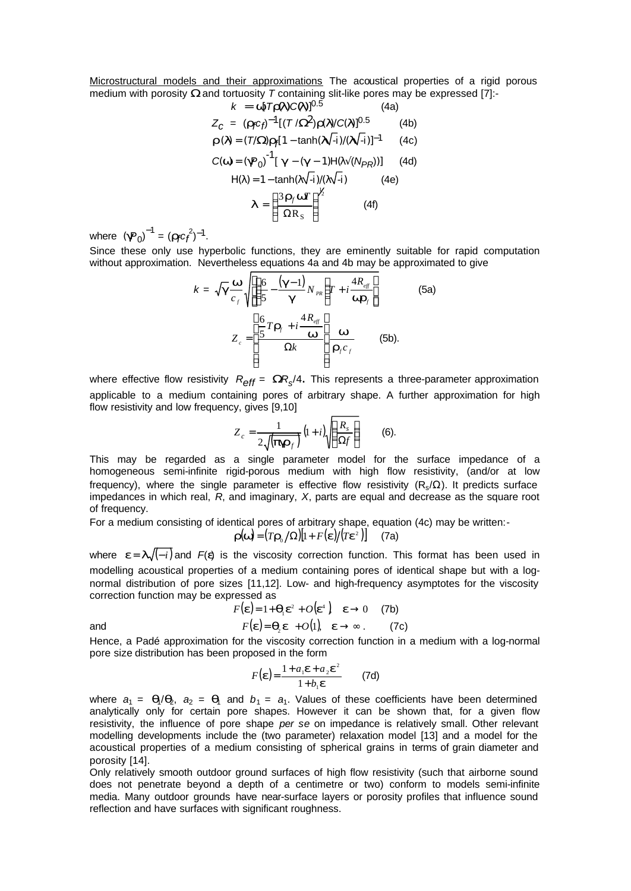Microstructural models and their approximations The acoustical properties of a rigid porous medium with porosity *W* and tortuosity *T* containing slit-like pores may be expressed [7]:-

$$
k = \mathbf{w} \text{Tr}(\mathbf{Q}) C(\mathbf{Q}) \text{tr}(\mathbf{S}) \qquad (4a)
$$
\n
$$
Z_C = (r_f c_f)^{-1} [(\mathbf{T}/\mathbf{W}^2) \mathbf{r}(\mathbf{I}) / C(\mathbf{I})]^{0.5} \qquad (4b)
$$
\n
$$
\mathbf{r}(\mathbf{I}) = (\mathbf{T}/\mathbf{W}) \mathbf{r} \text{tr}[\mathbf{I} - \tanh(\mathbf{I}) / (\mathbf{I}) / (\mathbf{I})]^{-1} \qquad (4c)
$$
\n
$$
C(\mathbf{W}) = (\mathbf{g}^D \text{tr}(\mathbf{I})^{-1} [\mathbf{g} - (\mathbf{g} - 1) \text{tr}(\lambda / (\mathbf{N}_P \text{tr}))] \qquad (4d)
$$
\n
$$
\text{tr}(\lambda) = 1 - \tanh(\lambda \sqrt{-1}) / (\lambda \sqrt{-1}) \qquad (4e)
$$
\n
$$
\mathbf{I} = \left(\frac{3\mathbf{r}_f \mathbf{w} \mathbf{T}}{\Omega \text{R}_S}\right)^{\frac{1}{2}} \qquad (4f)
$$

where  $(gP_0)^{-1} = (r_f c_f^2)^{-1}$ .

Since these only use hyperbolic functions, they are eminently suitable for rapid computation without approximation. Nevertheless equations 4a and 4b may be approximated to give

$$
k = \sqrt{\mathbf{g}} \frac{\mathbf{w}}{c_f} \sqrt{\left[ \left( \frac{6}{5} - \frac{(\mathbf{g} - 1)}{\mathbf{g}} N_{PR} \right) \mathbf{r} + i \frac{4R_{\text{eff}}}{\mathbf{w} \mathbf{r}_f} \right]}
$$
(5a)  

$$
Z_c = \left[ \frac{\frac{6}{5} T \mathbf{r}_f + i \frac{4R_{\text{eff}}}{\mathbf{w}}}{\Omega k} \right] \frac{\mathbf{w}}{\mathbf{r}_f c_f}
$$
(5b).

where effective flow resistivity *Reff* = *WR<sup>s</sup>* /4. This represents a three-parameter approximation applicable to a medium containing pores of arbitrary shape. A further approximation for high flow resistivity and low frequency, gives [9,10]

$$
Z_c = \frac{1}{2\sqrt{pqr_f}}\left(1+i\right)\sqrt{\frac{R_s}{\Omega f}}
$$
 (6).

This may be regarded as a single parameter model for the surface impedance of a homogeneous semi-infinite rigid-porous medium with high flow resistivity, (and/or at low frequency), where the single parameter is effective flow resistivity  $(R_s/Ω)$ . It predicts surface impedances in which real, *R*, and imaginary, *X*, parts are equal and decrease as the square root of frequency.

For a medium consisting of identical pores of arbitrary shape, equation (4c) may be written:-

$$
\mathbf{r}(\mathbf{w}) = (T\mathbf{r}_0/\Omega)[1 + F(\mathbf{e})/(T\mathbf{e}^2)] \quad \text{(7a)}
$$

where  $e = I\sqrt{(-i)}$  and  $F(e)$  is the viscosity correction function. This format has been used in modelling acoustical properties of a medium containing pores of identical shape but with a lognormal distribution of pore sizes [11,12]. Low- and high-frequency asymptotes for the viscosity correction function may be expressed as

and 
$$
F(\mathbf{e}) = 1 + \mathbf{q}_1 \mathbf{e}^2 + O(\mathbf{e}^4) \quad \mathbf{e} \to 0 \quad (7b)
$$

$$
F(\mathbf{e}) = \mathbf{q}_2 \mathbf{e} + O(1), \quad \mathbf{e} \to \infty . \quad (7c)
$$

Hence, a Padé approximation for the viscosity correction function in a medium with a log-normal pore size distribution has been proposed in the form

$$
F(\mathbf{e}) = \frac{1 + a_1 \mathbf{e} + a_2 \mathbf{e}^2}{1 + b_1 \mathbf{e}} \qquad (7d)
$$

where  $a_1 = q_1/q_2$ ,  $a_2 = q_1$  and  $b_1 = a_1$ . Values of these coefficients have been determined analytically only for certain pore shapes. However it can be shown that, for a given flow resistivity, the influence of pore shape *per se* on impedance is relatively small. Other relevant modelling developments include the (two parameter) relaxation model [13] and a model for the acoustical properties of a medium consisting of spherical grains in terms of grain diameter and porosity [14].

Only relatively smooth outdoor ground surfaces of high flow resistivity (such that airborne sound does not penetrate beyond a depth of a centimetre or two) conform to models semi-infinite media. Many outdoor grounds have near-surface layers or porosity profiles that influence sound reflection and have surfaces with significant roughness.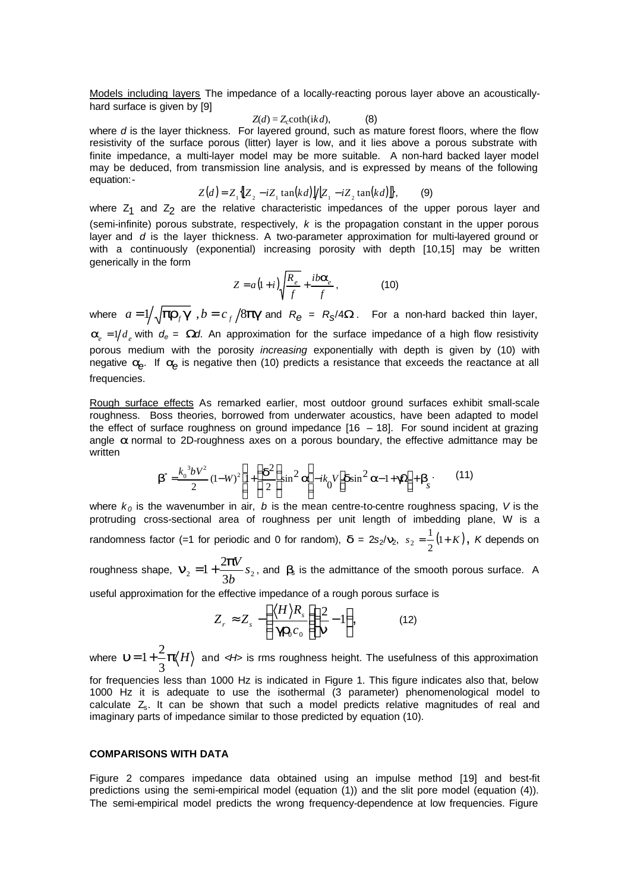Models including layers The impedance of a locally-reacting porous layer above an acousticallyhard surface is given by [9]

$$
Z(d) = Z_c \coth(ikd), \tag{8}
$$

where *d* is the layer thickness. For layered ground, such as mature forest floors, where the flow resistivity of the surface porous (litter) layer is low, and it lies above a porous substrate with finite impedance, a multi-layer model may be more suitable. A non-hard backed layer model may be deduced, from transmission line analysis, and is expressed by means of the following equation:-

$$
Z(d) = Z_1 \{ [Z_2 - iZ_1 \tan(kd)] / [Z_1 - iZ_2 \tan(kd)] \},
$$
 (9)

where  $Z_1$  and  $Z_2$  are the relative characteristic impedances of the upper porous layer and (semi-infinite) porous substrate, respectively, *k* is the propagation constant in the upper porous layer and *d* is the layer thickness. A two-parameter approximation for multi-layered ground or with a continuously (exponential) increasing porosity with depth [10,15] may be written generically in the form

$$
Z = a(1+i)\sqrt{\frac{R_e}{f}} + \frac{ib\mathbf{a}_e}{f},
$$
 (10)

where  $a = 1/\sqrt{\bm{pr}_f\bm{g}}$  ,  $b = c_f/8\bm{pg}$  and  $R_{\bm{\varrho}} = R_{\bm{S}}/4\bm{W}$ . For a non-hard backed thin layer,  $a<sub>e</sub> = 1/d<sub>e</sub>$  with  $d<sub>e</sub> = Wd$ . An approximation for the surface impedance of a high flow resistivity porous medium with the porosity *increasing* exponentially with depth is given by (10) with negative *a<sup>e</sup>* . If *a<sup>e</sup>* is negative then (10) predicts a resistance that exceeds the reactance at all frequencies.

Rough surface effects As remarked earlier, most outdoor ground surfaces exhibit small-scale roughness. Boss theories, borrowed from underwater acoustics, have been adapted to model the effect of surface roughness on ground impedance  $[16 - 18]$ . For sound incident at grazing angle *a* normal to 2D-roughness axes on a porous boundary, the effective admittance may be written

$$
\boldsymbol{b}^* = \frac{k_0^3 b V^2}{2} (1 - W)^2 \left[ 1 + \left( \frac{\boldsymbol{d}^2}{2} \right) \sin^2 \boldsymbol{a} \right] - ik_0 V \left[ \boldsymbol{d} \sin^2 \boldsymbol{a} - 1 + \boldsymbol{g} \Omega \right] + \boldsymbol{b}_s \tag{11}
$$

where  $k_0$  is the wavenumber in air, *b* is the mean centre-to-centre roughness spacing, *V* is the protruding cross-sectional area of roughness per unit length of imbedding plane, W is a randomness factor (=1 for periodic and 0 for random),  $\boldsymbol{d} = 2s_2/\boldsymbol{n}_2$ ,  $s_2 = \frac{1}{2}(1+K)$ 1  $\lambda_2 = \frac{1}{2}(1+K)$ , K depends on

roughness shape,  $\mathbf{n}_2 = 1 + \frac{2\mathbf{F}^T}{3b} s_2$  $1 + \frac{2\mathbf{p}V}{s} s$ *b*  $p_2 = 1 + \frac{2pV}{r^2} s_2$ , and  $p_3$  is the admittance of the smooth porous surface. A

useful approximation for the effective impedance of a rough porous surface is

$$
Z_r \approx Z_s - \left(\frac{\langle H \rangle R_s}{\mathbf{gr}_0 c_0} \right) \frac{2}{\mathbf{n}} - 1 \bigg), \tag{12}
$$

where  $\boldsymbol{u} = 1 + \frac{2}{3} \boldsymbol{p}'_1 H$ 3  $= 1 + \frac{2}{3}$  p $\langle H \rangle$  and  $\langle H \rangle$  is rms roughness height. The usefulness of this approximation

for frequencies less than 1000 Hz is indicated in Figure 1. This figure indicates also that, below 1000 Hz it is adequate to use the isothermal (3 parameter) phenomenological model to calculate  $Z<sub>s</sub>$ . It can be shown that such a model predicts relative magnitudes of real and imaginary parts of impedance similar to those predicted by equation (10).

#### **COMPARISONS WITH DATA**

Figure 2 compares impedance data obtained using an impulse method [19] and best-fit predictions using the semi-empirical model (equation (1)) and the slit pore model (equation (4)). The semi-empirical model predicts the wrong frequency-dependence at low frequencies. Figure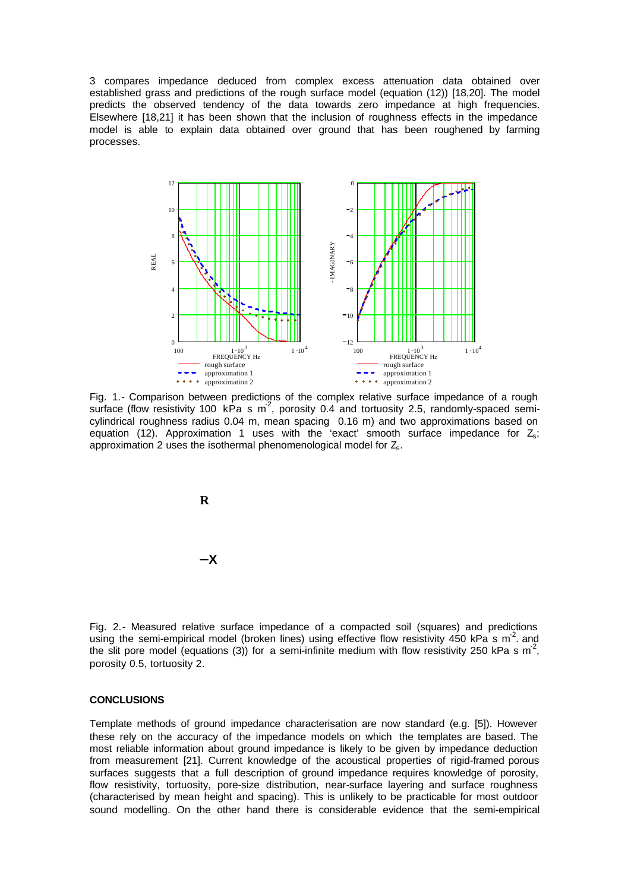3 compares impedance deduced from complex excess attenuation data obtained over established grass and predictions of the rough surface model (equation (12)) [18,20]. The model predicts the observed tendency of the data towards zero impedance at high frequencies. Elsewhere [18,21] it has been shown that the inclusion of roughness effects in the impedance model is able to explain data obtained over ground that has been roughened by farming processes.



Fig. 1.- Comparison between predictions of the complex relative surface impedance of a rough surface (flow resistivity 100 kPa s m<sup>2</sup>, porosity 0.4 and tortuosity 2.5, randomly-spaced semicylindrical roughness radius 0.04 m, mean spacing 0.16 m) and two approximations based on equation (12). Approximation 1 uses with the 'exact' smooth surface impedance for  $Z_s$ ; approximation 2 uses the isothermal phenomenological model for  $Z_s$ .



Fig. 2.- Measured relative surface impedance of a compacted soil (squares) and predictions using the semi-empirical model (broken lines) using effective flow resistivity 450 kPa s m<sup>-2</sup> and the slit pore model (equations (3)) for a semi-infinite medium with flow resistivity 250 kPa s m<sup>-2</sup>, porosity 0.5, tortuosity 2.

#### **CONCLUSIONS**

Template methods of ground impedance characterisation are now standard (e.g. [5]). However these rely on the accuracy of the impedance models on which the templates are based. The most reliable information about ground impedance is likely to be given by impedance deduction from measurement [21]. Current knowledge of the acoustical properties of rigid-framed porous surfaces suggests that a full description of ground impedance requires knowledge of porosity, flow resistivity, tortuosity, pore-size distribution, near-surface layering and surface roughness (characterised by mean height and spacing). This is unlikely to be practicable for most outdoor sound modelling. On the other hand there is considerable evidence that the semi-empirical